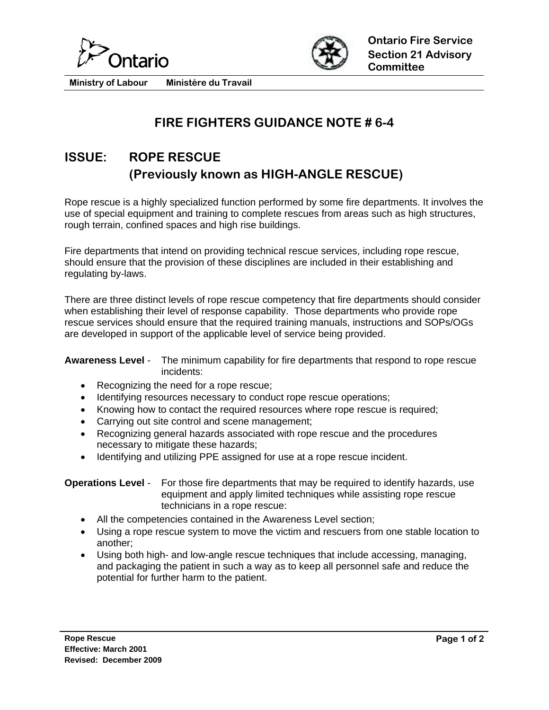



**Ministry of Labour Ministére du Travail** 

## **FIRE FIGHTERS GUIDANCE NOTE # 6-4**

# **ISSUE: ROPE RESCUE (Previously known as HIGH-ANGLE RESCUE)**

Rope rescue is a highly specialized function performed by some fire departments. It involves the use of special equipment and training to complete rescues from areas such as high structures, rough terrain, confined spaces and high rise buildings.

Fire departments that intend on providing technical rescue services, including rope rescue, should ensure that the provision of these disciplines are included in their establishing and regulating by-laws.

There are three distinct levels of rope rescue competency that fire departments should consider when establishing their level of response capability. Those departments who provide rope rescue services should ensure that the required training manuals, instructions and SOPs/OGs are developed in support of the applicable level of service being provided.

### **Awareness Level** - The minimum capability for fire departments that respond to rope rescue incidents:

- Recognizing the need for a rope rescue;
- Identifying resources necessary to conduct rope rescue operations;
- Knowing how to contact the required resources where rope rescue is required;
- Carrying out site control and scene management;
- Recognizing general hazards associated with rope rescue and the procedures necessary to mitigate these hazards;
- Identifying and utilizing PPE assigned for use at a rope rescue incident.

#### **Operations Level** - For those fire departments that may be required to identify hazards, use equipment and apply limited techniques while assisting rope rescue technicians in a rope rescue:

- All the competencies contained in the Awareness Level section;
- Using a rope rescue system to move the victim and rescuers from one stable location to another;
- Using both high- and low-angle rescue techniques that include accessing, managing, and packaging the patient in such a way as to keep all personnel safe and reduce the potential for further harm to the patient.